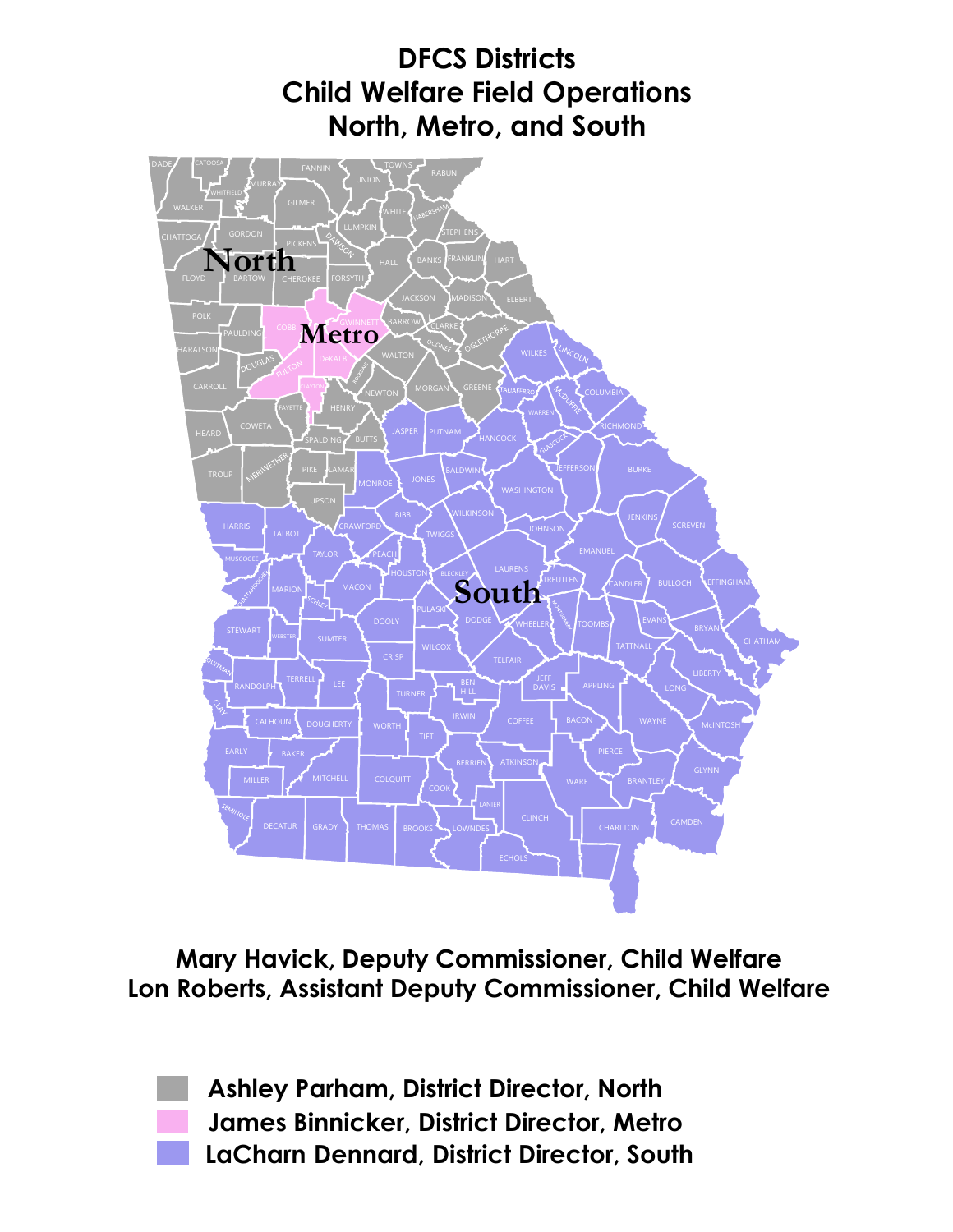

**Mary Havick, Deputy Commissioner, Child Welfare Lon Roberts, Assistant Deputy Commissioner, Child Welfare**

> **Ashley Parham, District Director, North James Binnicker, District Director, Metro LaCharn Dennard, District Director, South**